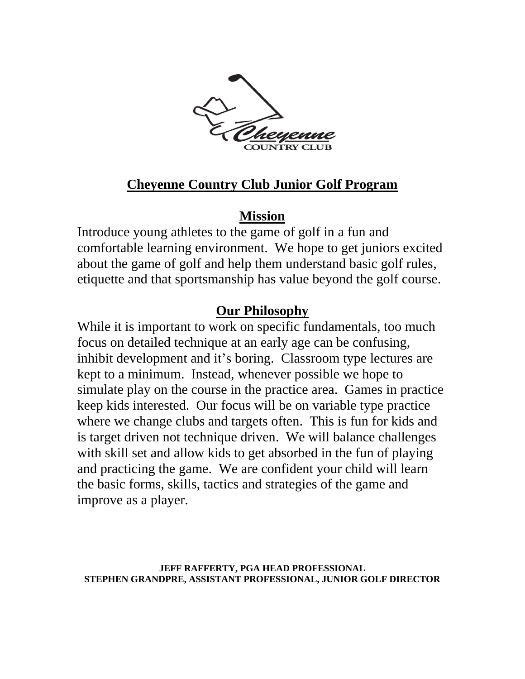

# **Cheyenne Country Club Junior Golf Program**

### **Mission**

Introduce young athletes to the game of golf in a fun and comfortable learning environment. We hope to get juniors excited about the game of golf and help them understand basic golf rules, etiquette and that sportsmanship has value beyond the golf course.

# **Our Philosophy**

While it is important to work on specific fundamentals, too much focus on detailed technique at an early age can be confusing, inhibit development and it's boring. Classroom type lectures are kept to a minimum. Instead, whenever possible we hope to simulate play on the course in the practice area. Games in practice keep kids interested. Our focus will be on variable type practice where we change clubs and targets often. This is fun for kids and is target driven not technique driven. We will balance challenges with skill set and allow kids to get absorbed in the fun of playing and practicing the game. We are confident your child will learn the basic forms, skills, tactics and strategies of the game and improve as a player.

**JEFF RAFFERTY, PGA HEAD PROFESSIONAL STEPHEN GRANDPRE, ASSISTANT PROFESSIONAL, JUNIOR GOLF DIRECTOR**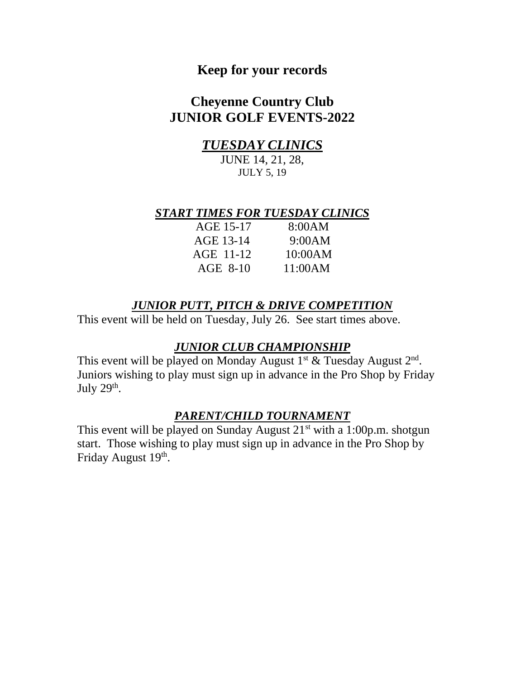### **Keep for your records**

### **Cheyenne Country Club JUNIOR GOLF EVENTS-2022**

### *TUESDAY CLINICS*

JUNE 14, 21, 28, JULY 5, 19

#### *START TIMES FOR TUESDAY CLINICS*

| AGE 15-17  | 8:00AM  |
|------------|---------|
| AGE 13-14  | 9:00AM  |
| AGE 11-12  | 10:00AM |
| $AGE$ 8-10 | 11:00AM |

### *JUNIOR PUTT, PITCH & DRIVE COMPETITION*

This event will be held on Tuesday, July 26. See start times above.

#### *JUNIOR CLUB CHAMPIONSHIP*

This event will be played on Monday August  $1<sup>st</sup>$  & Tuesday August  $2<sup>nd</sup>$ . Juniors wishing to play must sign up in advance in the Pro Shop by Friday July  $29<sup>th</sup>$ .

#### *PARENT/CHILD TOURNAMENT*

This event will be played on Sunday August  $21^{st}$  with a 1:00p.m. shotgun start. Those wishing to play must sign up in advance in the Pro Shop by Friday August 19<sup>th</sup>.